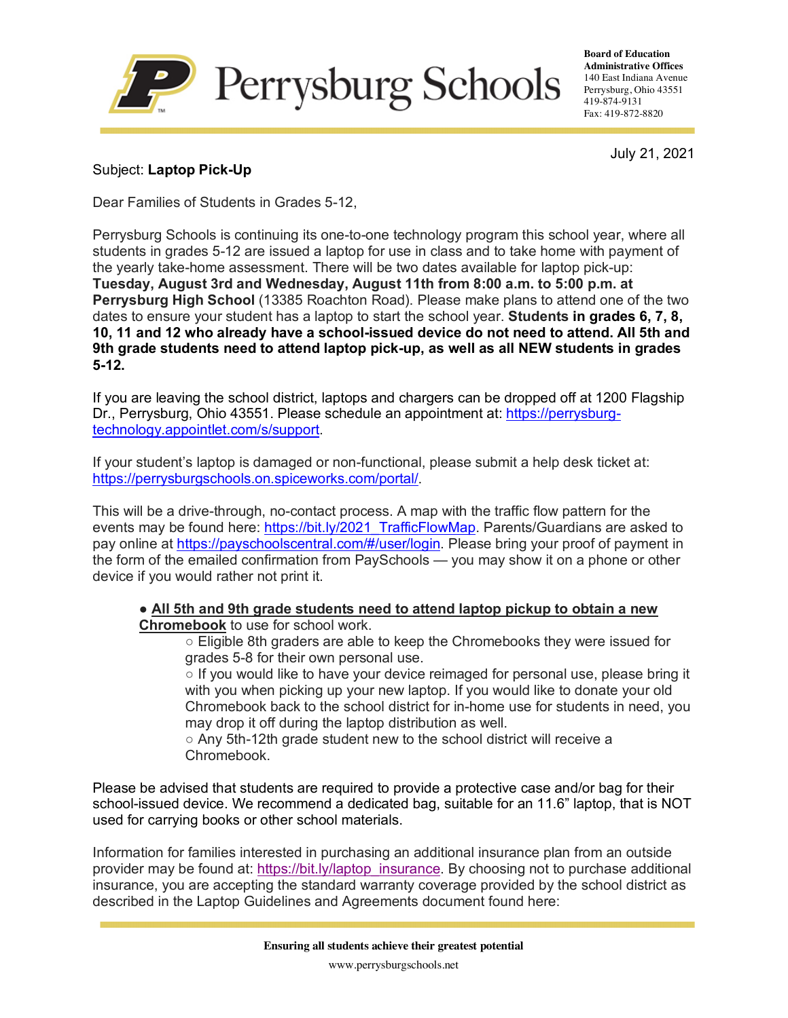

**Board of Education Administrative Offices** 140 East Indiana Avenue Perrysburg, Ohio 43551 419-874-9131 Fax: 419-872-8820

July 21, 2021

## Subject: **Laptop Pick-Up**

Dear Families of Students in Grades 5-12,

Perrysburg Schools is continuing its one-to-one technology program this school year, where all students in grades 5-12 are issued a laptop for use in class and to take home with payment of the yearly take-home assessment. There will be two dates available for laptop pick-up: **Tuesday, August 3rd and Wednesday, August 11th from 8:00 a.m. to 5:00 p.m. at Perrysburg High School** (13385 Roachton Road). Please make plans to attend one of the two dates to ensure your student has a laptop to start the school year. **Students in grades 6, 7, 8, 10, 11 and 12 who already have a school-issued device do not need to attend. All 5th and 9th grade students need to attend laptop pick-up, as well as all NEW students in grades 5-12.**

If you are leaving the school district, laptops and chargers can be dropped off at 1200 Flagship Dr., Perrysburg, Ohio 43551. Please schedule an appointment at: https://perrysburgtechnology.appointlet.com/s/support.

If your student's laptop is damaged or non-functional, please submit a help desk ticket at: https://perrysburgschools.on.spiceworks.com/portal/.

This will be a drive-through, no-contact process. A map with the traffic flow pattern for the events may be found here: https://bit.ly/2021\_TrafficFlowMap. Parents/Guardians are asked to pay online at https://payschoolscentral.com/#/user/login. Please bring your proof of payment in the form of the emailed confirmation from PaySchools — you may show it on a phone or other device if you would rather not print it.

## ● **All 5th and 9th grade students need to attend laptop pickup to obtain a new Chromebook** to use for school work.

○ Eligible 8th graders are able to keep the Chromebooks they were issued for grades 5-8 for their own personal use.

 $\circ$  If you would like to have your device reimaged for personal use, please bring it with you when picking up your new laptop. If you would like to donate your old Chromebook back to the school district for in-home use for students in need, you may drop it off during the laptop distribution as well.

○ Any 5th-12th grade student new to the school district will receive a Chromebook.

Please be advised that students are required to provide a protective case and/or bag for their school-issued device. We recommend a dedicated bag, suitable for an 11.6" laptop, that is NOT used for carrying books or other school materials.

Information for families interested in purchasing an additional insurance plan from an outside provider may be found at: https://bit.ly/laptop\_insurance. By choosing not to purchase additional insurance, you are accepting the standard warranty coverage provided by the school district as described in the Laptop Guidelines and Agreements document found here:

www.perrysburgschools.net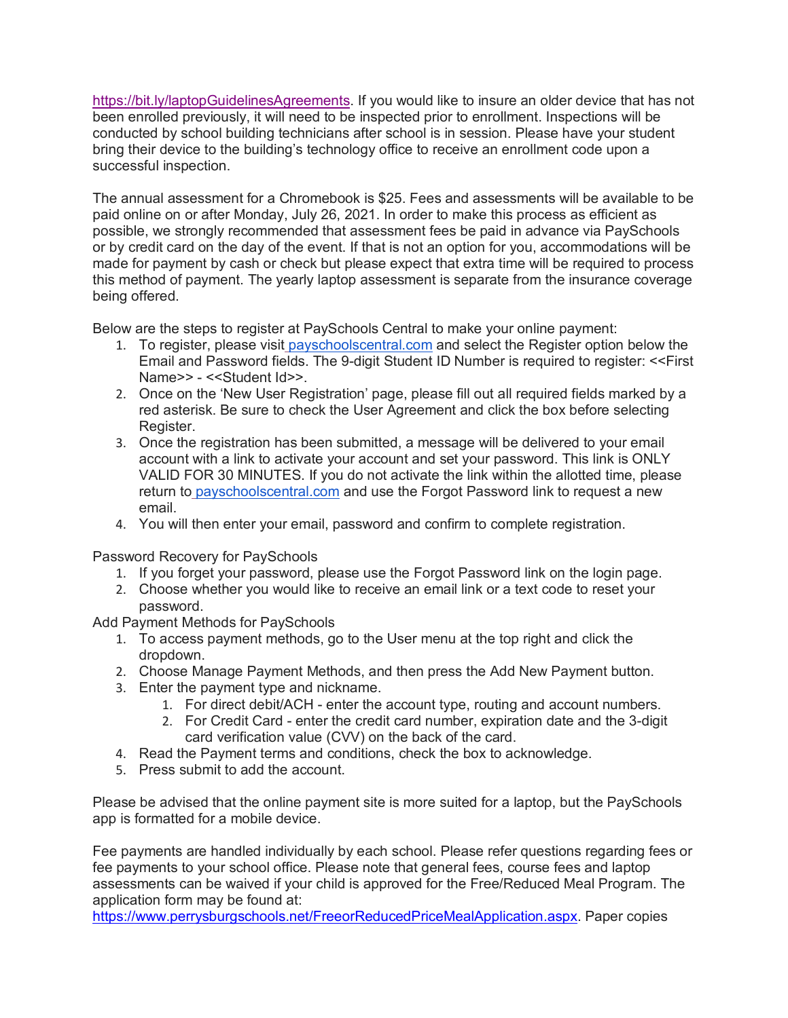https://bit.ly/laptopGuidelinesAgreements. If you would like to insure an older device that has not been enrolled previously, it will need to be inspected prior to enrollment. Inspections will be conducted by school building technicians after school is in session. Please have your student bring their device to the building's technology office to receive an enrollment code upon a successful inspection.

The annual assessment for a Chromebook is \$25. Fees and assessments will be available to be paid online on or after Monday, July 26, 2021. In order to make this process as efficient as possible, we strongly recommended that assessment fees be paid in advance via PaySchools or by credit card on the day of the event. If that is not an option for you, accommodations will be made for payment by cash or check but please expect that extra time will be required to process this method of payment. The yearly laptop assessment is separate from the insurance coverage being offered.

Below are the steps to register at PaySchools Central to make your online payment:

- 1. To register, please visit payschoolscentral.com and select the Register option below the Email and Password fields. The 9-digit Student ID Number is required to register: <<First Name>> - <<Student Id>>.
- 2. Once on the 'New User Registration' page, please fill out all required fields marked by a red asterisk. Be sure to check the User Agreement and click the box before selecting Register.
- 3. Once the registration has been submitted, a message will be delivered to your email account with a link to activate your account and set your password. This link is ONLY VALID FOR 30 MINUTES. If you do not activate the link within the allotted time, please return to payschoolscentral.com and use the Forgot Password link to request a new email.
- 4. You will then enter your email, password and confirm to complete registration.

Password Recovery for PaySchools

- 1. If you forget your password, please use the Forgot Password link on the login page.
- 2. Choose whether you would like to receive an email link or a text code to reset your password.

Add Payment Methods for PaySchools

- 1. To access payment methods, go to the User menu at the top right and click the dropdown.
- 2. Choose Manage Payment Methods, and then press the Add New Payment button.
- 3. Enter the payment type and nickname.
	- 1. For direct debit/ACH enter the account type, routing and account numbers.
	- 2. For Credit Card enter the credit card number, expiration date and the 3-digit card verification value (CVV) on the back of the card.
- 4. Read the Payment terms and conditions, check the box to acknowledge.
- 5. Press submit to add the account.

Please be advised that the online payment site is more suited for a laptop, but the PaySchools app is formatted for a mobile device.

Fee payments are handled individually by each school. Please refer questions regarding fees or fee payments to your school office. Please note that general fees, course fees and laptop assessments can be waived if your child is approved for the Free/Reduced Meal Program. The application form may be found at:

https://www.perrysburgschools.net/FreeorReducedPriceMealApplication.aspx. Paper copies